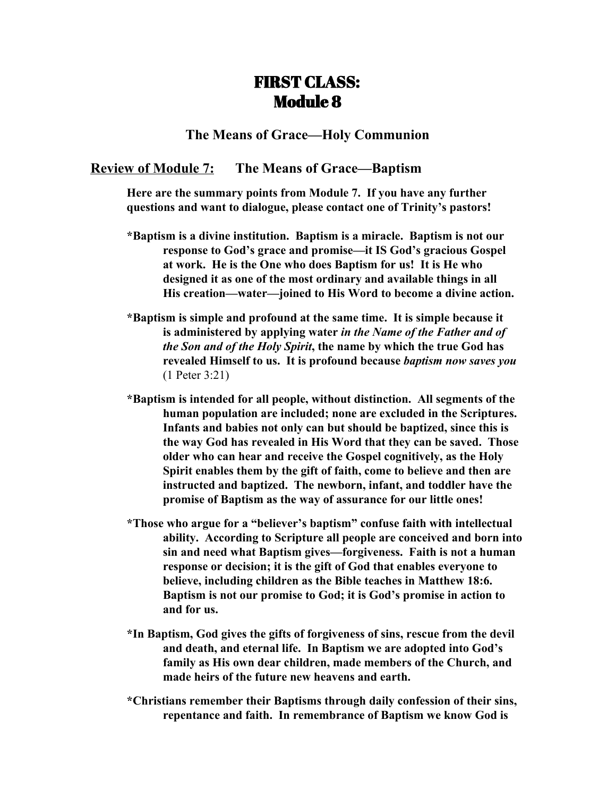# FIRST CLASS: Module 8

## **The Means of Grace—Holy Communion**

# **Review of Module 7: The Means of Grace—Baptism**

**Here are the summary points from Module 7. If you have any further questions and want to dialogue, please contact one of Trinity's pastors!**

- **\*Baptism is a divine institution. Baptism is a miracle. Baptism is not our response to God's grace and promise—it IS God's gracious Gospel at work. He is the One who does Baptism for us! It is He who designed it as one of the most ordinary and available things in all His creation—water—joined to His Word to become a divine action.**
- **\*Baptism is simple and profound at the same time. It is simple because it is administered by applying water** *in the Name of the Father and of the Son and of the Holy Spirit***, the name by which the true God has revealed Himself to us. It is profound because** *baptism now saves you* (1 Peter 3:21)
- **\*Baptism is intended for all people, without distinction. All segments of the human population are included; none are excluded in the Scriptures. Infants and babies not only can but should be baptized, since this is the way God has revealed in His Word that they can be saved. Those older who can hear and receive the Gospel cognitively, as the Holy Spirit enables them by the gift of faith, come to believe and then are instructed and baptized. The newborn, infant, and toddler have the promise of Baptism as the way of assurance for our little ones!**
- **\*Those who argue for a "believer's baptism" confuse faith with intellectual ability. According to Scripture all people are conceived and born into sin and need what Baptism gives—forgiveness. Faith is not a human response or decision; it is the gift of God that enables everyone to believe, including children as the Bible teaches in Matthew 18:6. Baptism is not our promise to God; it is God's promise in action to and for us.**
- **\*In Baptism, God gives the gifts of forgiveness of sins, rescue from the devil and death, and eternal life. In Baptism we are adopted into God's family as His own dear children, made members of the Church, and made heirs of the future new heavens and earth.**
- **\*Christians remember their Baptisms through daily confession of their sins, repentance and faith. In remembrance of Baptism we know God is**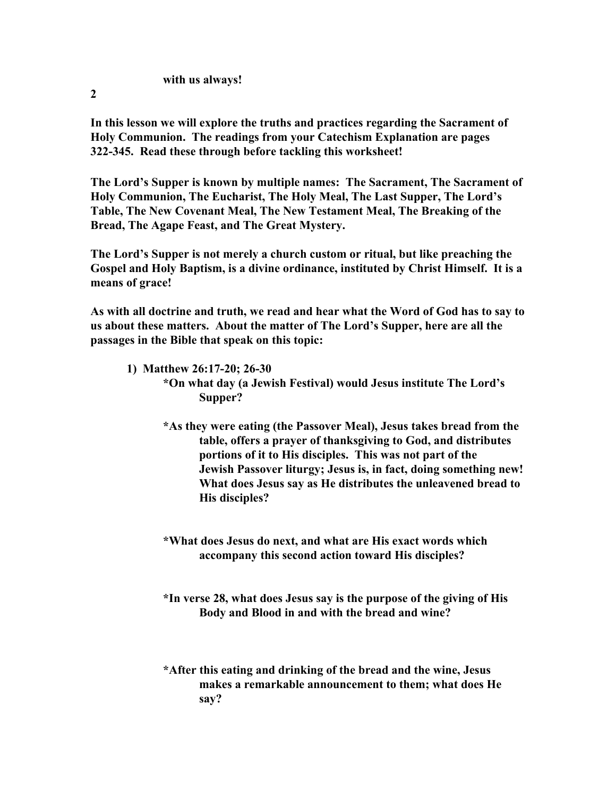## **with us always!**

**2**

**In this lesson we will explore the truths and practices regarding the Sacrament of Holy Communion. The readings from your Catechism Explanation are pages 322-345. Read these through before tackling this worksheet!**

**The Lord's Supper is known by multiple names: The Sacrament, The Sacrament of Holy Communion, The Eucharist, The Holy Meal, The Last Supper, The Lord's Table, The New Covenant Meal, The New Testament Meal, The Breaking of the Bread, The Agape Feast, and The Great Mystery.**

**The Lord's Supper is not merely a church custom or ritual, but like preaching the Gospel and Holy Baptism, is a divine ordinance, instituted by Christ Himself. It is a means of grace!**

**As with all doctrine and truth, we read and hear what the Word of God has to say to us about these matters. About the matter of The Lord's Supper, here are all the passages in the Bible that speak on this topic:**

**1) Matthew 26:17-20; 26-30**

**\*On what day (a Jewish Festival) would Jesus institute The Lord's Supper?**

**\*As they were eating (the Passover Meal), Jesus takes bread from the table, offers a prayer of thanksgiving to God, and distributes portions of it to His disciples. This was not part of the Jewish Passover liturgy; Jesus is, in fact, doing something new! What does Jesus say as He distributes the unleavened bread to His disciples?**

**\*What does Jesus do next, and what are His exact words which accompany this second action toward His disciples?**

**\*In verse 28, what does Jesus say is the purpose of the giving of His Body and Blood in and with the bread and wine?**

**\*After this eating and drinking of the bread and the wine, Jesus makes a remarkable announcement to them; what does He say?**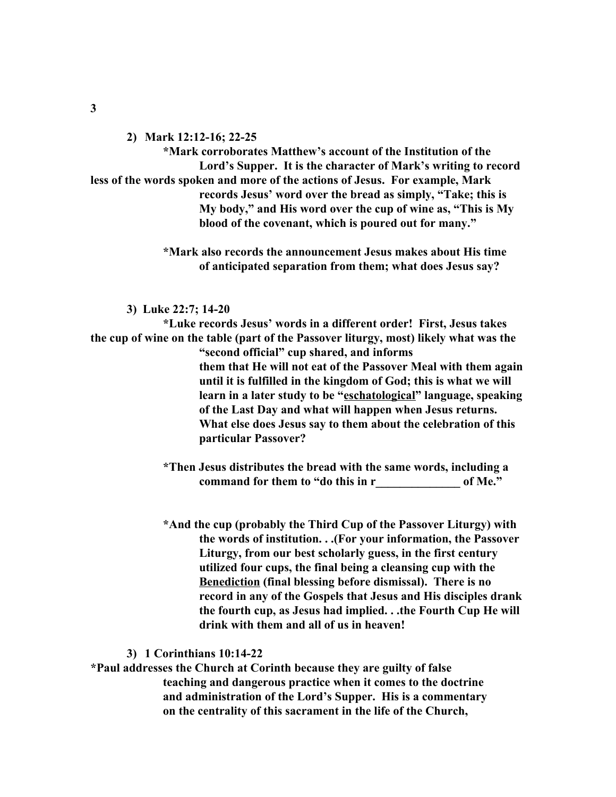**2) Mark 12:12-16; 22-25**

**\*Mark corroborates Matthew's account of the Institution of the Lord's Supper. It is the character of Mark's writing to record less of the words spoken and more of the actions of Jesus. For example, Mark records Jesus' word over the bread as simply, "Take; this is My body," and His word over the cup of wine as, "This is My blood of the covenant, which is poured out for many."**

> **\*Mark also records the announcement Jesus makes about His time of anticipated separation from them; what does Jesus say?**

**3) Luke 22:7; 14-20**

**\*Luke records Jesus' words in a different order! First, Jesus takes the cup of wine on the table (part of the Passover liturgy, most) likely what was the "second official" cup shared, and informs them that He will not eat of the Passover Meal with them again until it is fulfilled in the kingdom of God; this is what we will learn in a later study to be "eschatological" language, speaking of the Last Day and what will happen when Jesus returns. What else does Jesus say to them about the celebration of this particular Passover?**

> **\*Then Jesus distributes the bread with the same words, including a command for them to "do this in r\_\_\_\_\_\_\_\_\_\_\_\_\_\_ of Me."**

**\*And the cup (probably the Third Cup of the Passover Liturgy) with the words of institution. . .(For your information, the Passover Liturgy, from our best scholarly guess, in the first century utilized four cups, the final being a cleansing cup with the Benediction (final blessing before dismissal). There is no record in any of the Gospels that Jesus and His disciples drank the fourth cup, as Jesus had implied. . .the Fourth Cup He will drink with them and all of us in heaven!**

## **3) 1 Corinthians 10:14-22**

**\*Paul addresses the Church at Corinth because they are guilty of false teaching and dangerous practice when it comes to the doctrine and administration of the Lord's Supper. His is a commentary on the centrality of this sacrament in the life of the Church,**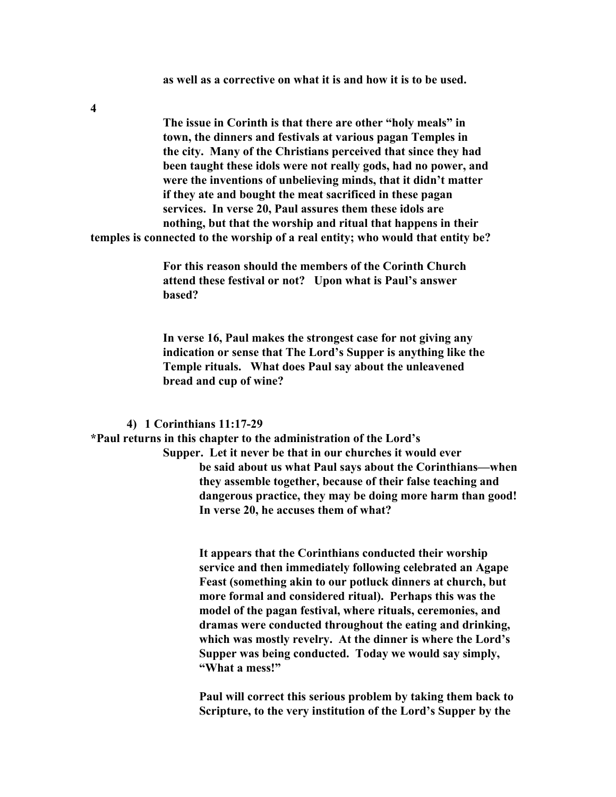**as well as a corrective on what it is and how it is to be used.**

**4**

**The issue in Corinth is that there are other "holy meals" in town, the dinners and festivals at various pagan Temples in the city. Many of the Christians perceived that since they had been taught these idols were not really gods, had no power, and were the inventions of unbelieving minds, that it didn't matter if they ate and bought the meat sacrificed in these pagan services. In verse 20, Paul assures them these idols are nothing, but that the worship and ritual that happens in their temples is connected to the worship of a real entity; who would that entity be?**

> **For this reason should the members of the Corinth Church attend these festival or not? Upon what is Paul's answer based?**

**In verse 16, Paul makes the strongest case for not giving any indication or sense that The Lord's Supper is anything like the Temple rituals. What does Paul say about the unleavened bread and cup of wine?**

#### **4) 1 Corinthians 11:17-29**

**\*Paul returns in this chapter to the administration of the Lord's Supper. Let it never be that in our churches it would ever be said about us what Paul says about the Corinthians—when they assemble together, because of their false teaching and dangerous practice, they may be doing more harm than good! In verse 20, he accuses them of what?**

> **It appears that the Corinthians conducted their worship service and then immediately following celebrated an Agape Feast (something akin to our potluck dinners at church, but more formal and considered ritual). Perhaps this was the model of the pagan festival, where rituals, ceremonies, and dramas were conducted throughout the eating and drinking, which was mostly revelry. At the dinner is where the Lord's Supper was being conducted. Today we would say simply, "What a mess!"**

> **Paul will correct this serious problem by taking them back to Scripture, to the very institution of the Lord's Supper by the**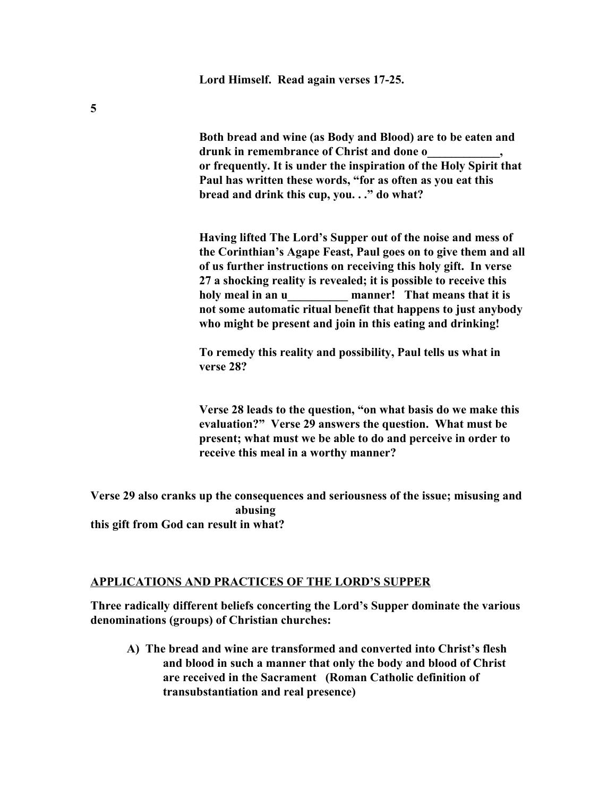**Lord Himself. Read again verses 17-25.**

**Both bread and wine (as Body and Blood) are to be eaten and drunk in remembrance of Christ and done o\_\_\_\_\_\_\_\_\_\_\_\_, or frequently. It is under the inspiration of the Holy Spirit that Paul has written these words, "for as often as you eat this bread and drink this cup, you. . ." do what?**

**Having lifted The Lord's Supper out of the noise and mess of the Corinthian's Agape Feast, Paul goes on to give them and all of us further instructions on receiving this holy gift. In verse 27 a shocking reality is revealed; it is possible to receive this holy meal in an u\_\_\_\_\_\_\_\_\_\_ manner! That means that it is not some automatic ritual benefit that happens to just anybody who might be present and join in this eating and drinking!**

**To remedy this reality and possibility, Paul tells us what in verse 28?**

**Verse 28 leads to the question, "on what basis do we make this evaluation?" Verse 29 answers the question. What must be present; what must we be able to do and perceive in order to receive this meal in a worthy manner?**

**Verse 29 also cranks up the consequences and seriousness of the issue; misusing and abusing this gift from God can result in what?**

## **APPLICATIONS AND PRACTICES OF THE LORD'S SUPPER**

**Three radically different beliefs concerting the Lord's Supper dominate the various denominations (groups) of Christian churches:**

**A) The bread and wine are transformed and converted into Christ's flesh and blood in such a manner that only the body and blood of Christ are received in the Sacrament (Roman Catholic definition of transubstantiation and real presence)**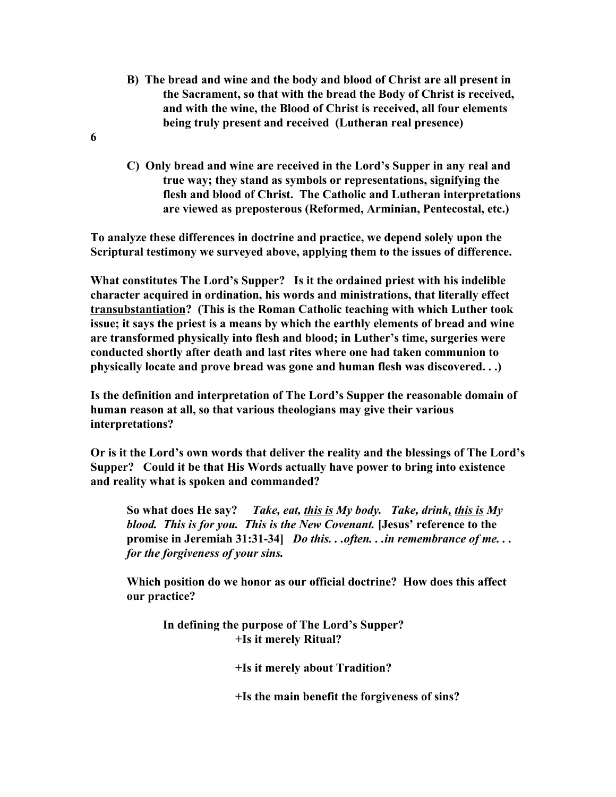- **B) The bread and wine and the body and blood of Christ are all present in the Sacrament, so that with the bread the Body of Christ is received, and with the wine, the Blood of Christ is received, all four elements being truly present and received (Lutheran real presence)**
- **6**
- **C) Only bread and wine are received in the Lord's Supper in any real and true way; they stand as symbols or representations, signifying the flesh and blood of Christ. The Catholic and Lutheran interpretations are viewed as preposterous (Reformed, Arminian, Pentecostal, etc.)**

**To analyze these differences in doctrine and practice, we depend solely upon the Scriptural testimony we surveyed above, applying them to the issues of difference.**

**What constitutes The Lord's Supper? Is it the ordained priest with his indelible character acquired in ordination, his words and ministrations, that literally effect transubstantiation? (This is the Roman Catholic teaching with which Luther took issue; it says the priest is a means by which the earthly elements of bread and wine are transformed physically into flesh and blood; in Luther's time, surgeries were conducted shortly after death and last rites where one had taken communion to physically locate and prove bread was gone and human flesh was discovered. . .)**

**Is the definition and interpretation of The Lord's Supper the reasonable domain of human reason at all, so that various theologians may give their various interpretations?**

**Or is it the Lord's own words that deliver the reality and the blessings of The Lord's Supper? Could it be that His Words actually have power to bring into existence and reality what is spoken and commanded?**

**So what does He say?** *Take, eat, this is My body. Take, drink, this is My blood. This is for you. This is the New Covenant.* **[Jesus' reference to the promise in Jeremiah 31:31-34]** *Do this. . .often. . .in remembrance of me. . . for the forgiveness of your sins.*

**Which position do we honor as our official doctrine? How does this affect our practice?**

**In defining the purpose of The Lord's Supper? +Is it merely Ritual?**

**+Is it merely about Tradition?**

**+Is the main benefit the forgiveness of sins?**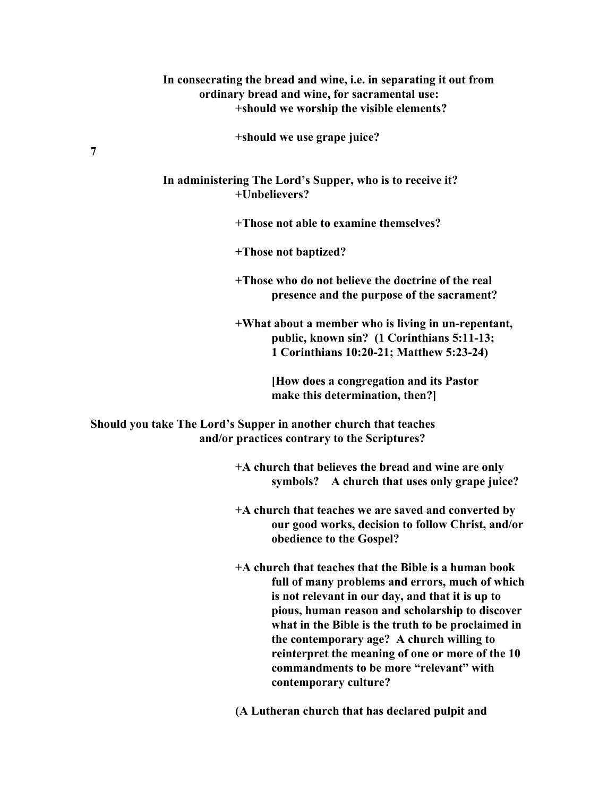## **In consecrating the bread and wine, i.e. in separating it out from ordinary bread and wine, for sacramental use: +should we worship the visible elements?**

**+should we use grape juice?**

**In administering The Lord's Supper, who is to receive it? +Unbelievers?**

**+Those not able to examine themselves?**

**+Those not baptized?**

**+Those who do not believe the doctrine of the real presence and the purpose of the sacrament?**

**+What about a member who is living in un-repentant, public, known sin? (1 Corinthians 5:11-13; 1 Corinthians 10:20-21; Matthew 5:23-24)**

> **[How does a congregation and its Pastor make this determination, then?]**

**Should you take The Lord's Supper in another church that teaches and/or practices contrary to the Scriptures?**

> **+A church that believes the bread and wine are only symbols? A church that uses only grape juice?**

**+A church that teaches we are saved and converted by our good works, decision to follow Christ, and/or obedience to the Gospel?**

**+A church that teaches that the Bible is a human book full of many problems and errors, much of which is not relevant in our day, and that it is up to pious, human reason and scholarship to discover what in the Bible is the truth to be proclaimed in the contemporary age? A church willing to reinterpret the meaning of one or more of the 10 commandments to be more "relevant" with contemporary culture?**

**(A Lutheran church that has declared pulpit and**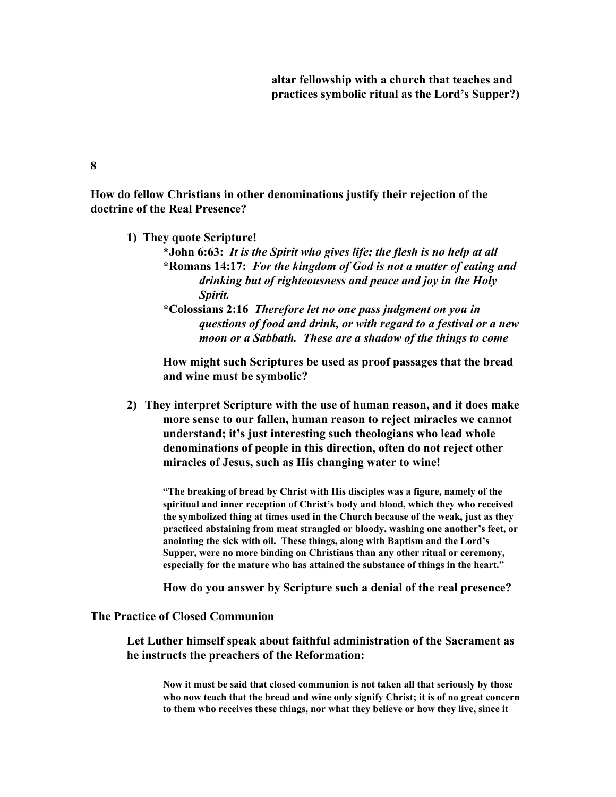**altar fellowship with a church that teaches and practices symbolic ritual as the Lord's Supper?)**

## **8**

**How do fellow Christians in other denominations justify their rejection of the doctrine of the Real Presence?**

- **1) They quote Scripture!**
	- **\*John 6:63:** *It is the Spirit who gives life; the flesh is no help at all* **\*Romans 14:17:** *For the kingdom of God is not a matter of eating and drinking but of righteousness and peace and joy in the Holy Spirit.*
	- **\*Colossians 2:16** *Therefore let no one pass judgment on you in questions of food and drink, or with regard to a festival or a new moon or a Sabbath. These are a shadow of the things to come*

**How might such Scriptures be used as proof passages that the bread and wine must be symbolic?**

**2) They interpret Scripture with the use of human reason, and it does make more sense to our fallen, human reason to reject miracles we cannot understand; it's just interesting such theologians who lead whole denominations of people in this direction, often do not reject other miracles of Jesus, such as His changing water to wine!**

**"The breaking of bread by Christ with His disciples was a figure, namely of the spiritual and inner reception of Christ's body and blood, which they who received the symbolized thing at times used in the Church because of the weak, just as they practiced abstaining from meat strangled or bloody, washing one another's feet, or anointing the sick with oil. These things, along with Baptism and the Lord's Supper, were no more binding on Christians than any other ritual or ceremony, especially for the mature who has attained the substance of things in the heart."**

**How do you answer by Scripture such a denial of the real presence?**

## **The Practice of Closed Communion**

**Let Luther himself speak about faithful administration of the Sacrament as he instructs the preachers of the Reformation:**

**Now it must be said that closed communion is not taken all that seriously by those who now teach that the bread and wine only signify Christ; it is of no great concern to them who receives these things, nor what they believe or how they live, since it**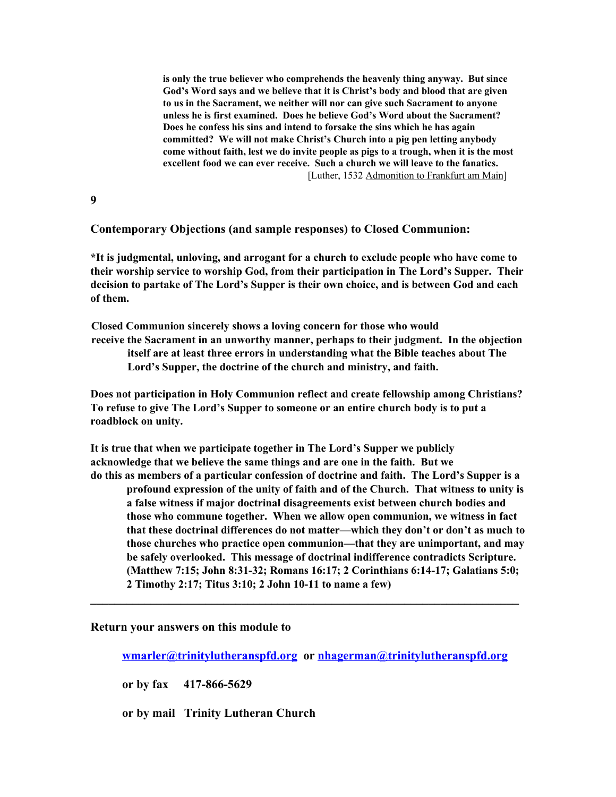**is only the true believer who comprehends the heavenly thing anyway. But since God's Word says and we believe that it is Christ's body and blood that are given to us in the Sacrament, we neither will nor can give such Sacrament to anyone unless he is first examined. Does he believe God's Word about the Sacrament? Does he confess his sins and intend to forsake the sins which he has again committed? We will not make Christ's Church into a pig pen letting anybody come without faith, lest we do invite people as pigs to a trough, when it is the most excellent food we can ever receive. Such a church we will leave to the fanatics.** [Luther, 1532 Admonition to Frankfurt am Main]

**9**

## **Contemporary Objections (and sample responses) to Closed Communion:**

**\*It is judgmental, unloving, and arrogant for a church to exclude people who have come to their worship service to worship God, from their participation in The Lord's Supper. Their decision to partake of The Lord's Supper is their own choice, and is between God and each of them.**

**Closed Communion sincerely shows a loving concern for those who would receive the Sacrament in an unworthy manner, perhaps to their judgment. In the objection itself are at least three errors in understanding what the Bible teaches about The Lord's Supper, the doctrine of the church and ministry, and faith.**

**Does not participation in Holy Communion reflect and create fellowship among Christians? To refuse to give The Lord's Supper to someone or an entire church body is to put a roadblock on unity.**

**It is true that when we participate together in The Lord's Supper we publicly acknowledge that we believe the same things and are one in the faith. But we do this as members of a particular confession of doctrine and faith. The Lord's Supper is a**

**profound expression of the unity of faith and of the Church. That witness to unity is a false witness if major doctrinal disagreements exist between church bodies and those who commune together. When we allow open communion, we witness in fact that these doctrinal differences do not matter—which they don't or don't as much to those churches who practice open communion—that they are unimportant, and may be safely overlooked. This message of doctrinal indifference contradicts Scripture. (Matthew 7:15; John 8:31-32; Romans 16:17; 2 Corinthians 6:14-17; Galatians 5:0; 2 Timothy 2:17; Titus 3:10; 2 John 10-11 to name a few)**

#### **Return your answers on this module to**

**[wmarler@trinitylutheranspfd.org](mailto:wmarler@trinitylutheranspfd.org) or [nhagerman@trinitylutheranspfd.org](mailto:nhagerman@trinitylutheranspfd.org)**

**\_\_\_\_\_\_\_\_\_\_\_\_\_\_\_\_\_\_\_\_\_\_\_\_\_\_\_\_\_\_\_\_\_\_\_\_\_\_\_\_\_\_\_\_\_\_\_\_\_\_\_\_\_\_\_\_\_\_\_\_\_\_\_\_\_\_\_\_\_\_\_**

**or by fax 417-866-5629**

**or by mail Trinity Lutheran Church**